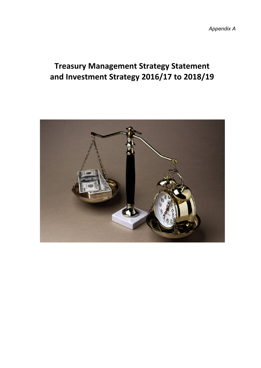*Appendix A*

# **Treasury Management Strategy Statement and Investment Strategy 2016/17 to 2018/19**

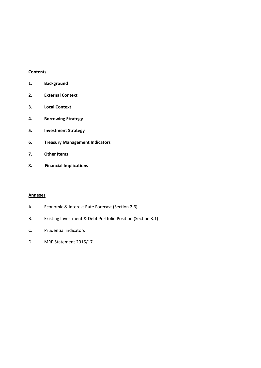## **Contents**

| 1. | <b>Background</b> |
|----|-------------------|
|----|-------------------|

- **2. External Context**
- **3. Local Context**
- **4. Borrowing Strategy**
- **5. Investment Strategy**
- **6. Treasury Management Indicators**
- **7. Other Items**
- **8. Financial Implications**

## **Annexes**

- A. Economic & Interest Rate Forecast (Section 2.6)
- B. Existing Investment & Debt Portfolio Position (Section 3.1)
- C. Prudential indicators
- D. MRP Statement 2016/17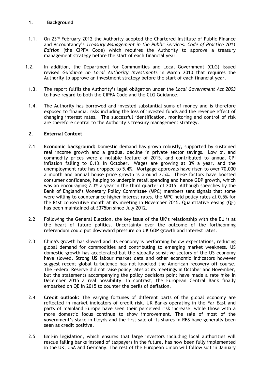## **1. Background**

- 1.1. On 23<sup>rd</sup> February 2012 the Authority adopted the Chartered Institute of Public Finance and Accountancy's *Treasury Management in the Public Services: Code of Practice 2011 Edition* (the CIPFA Code) which requires the Authority to approve a treasury management strategy before the start of each financial year.
- 1.2. In addition, the Department for Communities and Local Government (CLG) issued revised *Guidance on Local Authority Investments* in March 2010 that requires the Authority to approve an investment strategy before the start of each financial year.
- 1.3. The report fulfils the Authority's legal obligation under the *Local Government Act 2003* to have regard to both the CIPFA Code and the CLG Guidance.
- 1.4. The Authority has borrowed and invested substantial sums of money and is therefore exposed to financial risks including the loss of invested funds and the revenue effect of changing interest rates. The successful identification, monitoring and control of risk are therefore central to the Authority's treasury management strategy.

## **2. External Context**

- 2.1 **Economic background:** Domestic demand has grown robustly, supported by sustained real income growth and a gradual decline in private sector savings. Low oil and commodity prices were a notable feature of 2015, and contributed to annual CPI inflation falling to 0.1% in October. Wages are growing at 3% a year, and the unemployment rate has dropped to 5.4%. Mortgage approvals have risen to over 70,000 a month and annual house price growth is around 3.5%. These factors have boosted consumer confidence, helping to underpin retail spending and hence GDP growth, which was an encouraging 2.3% a year in the third quarter of 2015. Although speeches by the Bank of England's Monetary Policy Committee (MPC) members sent signals that some were willing to countenance higher interest rates, the MPC held policy rates at 0.5% for the 81st consecutive month at its meeting in November 2015. Quantitative easing (QE) has been maintained at £375bn since July 2012.
- 2.2 Following the General Election, the key issue of the UK's relationship with the EU is at the heart of future politics. Uncertainty over the outcome of the forthcoming referendum could put downward pressure on UK GDP growth and interest rates.
- 2.3 China's growth has slowed and its economy is performing below expectations, reducing global demand for commodities and contributing to emerging market weakness. US domestic growth has accelerated but the globally sensitive sectors of the US economy have slowed. Strong US labour market data and other economic indicators however suggest recent global turbulence has not knocked the American recovery off course. The Federal Reserve did not raise policy rates at its meetings in October and November, but the statements accompanying the policy decisions point have made a rate hike in December 2015 a real possibility. In contrast, the European Central Bank finally embarked on QE in 2015 to counter the perils of deflation.
- 2.4 **Credit outlook:** The varying fortunes of different parts of the global economy are reflected in market indicators of credit risk. UK Banks operating in the Far East and parts of mainland Europe have seen their perceived risk increase, while those with a more domestic focus continue to show improvement. The sale of most of the government's stake in Lloyds and the first sale of its shares in RBS have generally been seen as credit positive.
- 2.5 Bail-in legislation, which ensures that large investors including local authorities will rescue failing banks instead of taxpayers in the future, has now been fully implemented in the UK, USA and Germany. The rest of the European Union will follow suit in January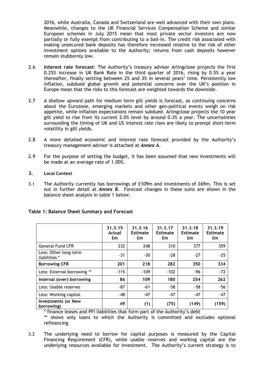2016, while Australia, Canada and Switzerland are well advanced with their own plans. Meanwhile, changes to the UK Financial Services Compensation Scheme and similar European schemes in July 2015 mean that most private sector investors are now partially or fully exempt from contributing to a bail-in. The credit risk associated with making unsecured bank deposits has therefore increased relative to the risk of other investment options available to the Authority; returns from cash deposits however remain stubbornly low.

- 2.6 **Interest rate forecast**: The Authority's treasury advisor Arlingclose projects the first 0.25% increase in UK Bank Rate in the third quarter of 2016, rising by 0.5% a year thereafter, finally settling between 2% and 3% in several years' time. Persistently low inflation, subdued global growth and potential concerns over the UK's position in Europe mean that the risks to this forecast are weighted towards the downside.
- 2.7 A shallow upward path for medium term gilt yields is forecast, as continuing concerns about the Eurozone, emerging markets and other geo-political events weigh on risk appetite, while inflation expectations remain subdued. Arlingclose projects the 10 year gilt yield to rise from its current 2.0% level by around 0.3% a year. The uncertainties surrounding the timing of UK and US interest rate rises are likely to prompt short-term volatility in gilt yields.
- 2.8 A more detailed economic and interest rate forecast provided by the Authority's treasury management advisor is attached at *Annex A*.
- 2.9 For the purpose of setting the budget, it has been assumed that new investments will be made at an average rate of 1.00%.
- **3. Local Context**
- 3.1 The Authority currently has borrowings of £109m and investments of £69m. This is set out in further detail at *Annex B*. Forecast changes in these sums are shown in the balance sheet analysis in table 1 below.

|                                          | 31.3.15<br>Actual<br>£m | 31.3.16<br><b>Estimate</b><br>£m | 31.3.17<br><b>Estimate</b><br>£m | 31.3.18<br><b>Estimate</b><br>£m | 31.3.19<br><b>Estimate</b><br>£m |
|------------------------------------------|-------------------------|----------------------------------|----------------------------------|----------------------------------|----------------------------------|
| <b>General Fund CFR</b>                  | 232                     | 248                              | 310                              | 377                              | 359                              |
| Less: Other long-term<br>liabilities *   | $-31$                   | $-30$                            | $-28$                            | $-27$                            | $-25$                            |
| <b>Borrowing CFR</b>                     | 201                     | 218                              | 282                              | 350                              | 334                              |
| Less: External borrowing **              | $-115$                  | $-109$                           | $-102$                           | -96                              | $-72$                            |
| Internal (over) borrowing                | 86                      | 109                              | 180                              | 254                              | 262                              |
| Less: Usable reserves                    | $-87$                   | $-61$                            | $-58$                            | -58                              | $-56$                            |
| Less: Working capital                    | $-48$                   | $-47$                            | $-47$                            | $-47$                            | $-47$                            |
| <b>Investments (or New</b><br>borrowing) | 49                      | (1)                              | (75)                             | (149)                            | (159)                            |

# **Table 1: Balance Sheet Summary and Forecast**

\* finance leases and PFI liabilities that form part of the Authority's debt

\*\* shows only loans to which the Authority is committed and excludes optional refinancing

3.2 The underlying need to borrow for capital purposes is measured by the Capital Financing Requirement (CFR), while usable reserves and working capital are the underlying resources available for investment. The Authority's current strategy is to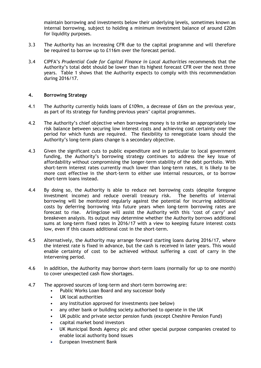maintain borrowing and investments below their underlying levels, sometimes known as internal borrowing, subject to holding a minimum investment balance of around £20m for liquidity purposes.

- 3.3 The Authority has an increasing CFR due to the capital programme and will therefore be required to borrow up to £116m over the forecast period.
- 3.4 CIPFA's *Prudential Code for Capital Finance in Local Authorities* recommends that the Authority's total debt should be lower than its highest forecast CFR over the next three years. Table 1 shows that the Authority expects to comply with this recommendation during 2016/17.

## **4. Borrowing Strategy**

- 4.1 The Authority currently holds loans of £109m, a decrease of £6m on the previous year, as part of its strategy for funding previous years' capital programmes.
- 4.2 The Authority's chief objective when borrowing money is to strike an appropriately low risk balance between securing low interest costs and achieving cost certainty over the period for which funds are required. The flexibility to renegotiate loans should the Authority's long-term plans change is a secondary objective.
- 4.3 Given the significant cuts to public expenditure and in particular to local government funding, the Authority's borrowing strategy continues to address the key issue of affordability without compromising the longer-term stability of the debt portfolio. With short-term interest rates currently much lower than long-term rates, it is likely to be more cost effective in the short-term to either use internal resources, or to borrow short-term loans instead.
- 4.4 By doing so, the Authority is able to reduce net borrowing costs (despite foregone investment income) and reduce overall treasury risk. The benefits of internal borrowing will be monitored regularly against the potential for incurring additional costs by deferring borrowing into future years when long-term borrowing rates are forecast to rise. Arlingclose will assist the Authority with this 'cost of carry' and breakeven analysis. Its output may determine whether the Authority borrows additional sums at long-term fixed rates in 2016/17 with a view to keeping future interest costs low, even if this causes additional cost in the short-term.
- 4.5 Alternatively, the Authority may arrange forward starting loans during 2016/17, where the interest rate is fixed in advance, but the cash is received in later years. This would enable certainty of cost to be achieved without suffering a cost of carry in the intervening period.
- 4.6 In addition, the Authority may borrow short-term loans (normally for up to one month) to cover unexpected cash flow shortages.
- 4.7 The approved sources of long-term and short-term borrowing are:
	- Public Works Loan Board and any successor body
	- UK local authorities
	- any institution approved for investments (see below)
	- any other bank or building society authorised to operate in the UK
	- UK public and private sector pension funds (except Cheshire Pension Fund)
	- capital market bond investors
	- UK Municipal Bonds Agency plc and other special purpose companies created to enable local authority bond issues
	- European Investment Bank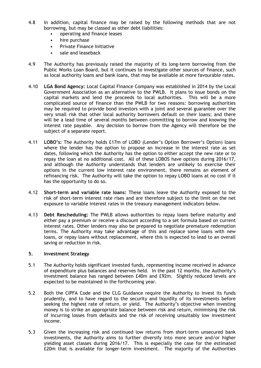- 4.8 In addition, capital finance may be raised by the following methods that are not borrowing, but may be classed as other debt liabilities:
	- operating and finance leases
	- hire purchase
	- Private Finance Initiative
	- sale and leaseback
- 4.9 The Authority has previously raised the majority of its long-term borrowing from the Public Works Loan Board, but it continues to investigate other sources of finance, such as local authority loans and bank loans, that may be available at more favourable rates.
- 4.10 **LGA Bond Agency:** Local Capital Finance Company was established in 2014 by the Local Government Association as an alternative to the PWLB. It plans to issue bonds on the capital markets and lend the proceeds to local authorities. This will be a more complicated source of finance than the PWLB for two reasons: borrowing authorities may be required to provide bond investors with a joint and several guarantee over the very small risk that other local authority borrowers default on their loans; and there will be a lead time of several months between committing to borrow and knowing the interest rate payable. Any decision to borrow from the Agency will therefore be the subject of a separate report.
- 4.11 **LOBO's:** The Authority holds £17m of LOBO (Lender's Option Borrower's Option) loans where the lender has the option to propose an increase in the interest rate as set dates, following which the Authority has the option to either accept the new rate or to repay the loan at no additional cost. All of these LOBOS have options during 2016/17, and although the Authority understands that lenders are unlikely to exercise their options in the current low interest rate environment, there remains an element of refinancing risk. The Authority will take the option to repay LOBO loans at no cost if it has the opportunity to do so.
- 4.12 **Short-term and variable rate loans:** These loans leave the Authority exposed to the risk of short-term interest rate rises and are therefore subject to the limit on the net exposure to variable interest rates in the treasury management indicators below.
- 4.13 **Debt Rescheduling:** The PWLB allows authorities to repay loans before maturity and either pay a premium or receive a discount according to a set formula based on current interest rates. Other lenders may also be prepared to negotiate premature redemption terms. The Authority may take advantage of this and replace some loans with new loans, or repay loans without replacement, where this is expected to lead to an overall saving or reduction in risk.

## **5. Investment Strategy**

- 5.1 The Authority holds significant invested funds, representing income received in advance of expenditure plus balances and reserves held. In the past 12 months, the Authority's investment balance has ranged between £40m and £92m. Slightly reduced levels are expected to be maintained in the forthcoming year.
- 5.2 Both the CIPFA Code and the CLG Guidance require the Authority to invest its funds prudently, and to have regard to the security and liquidity of its investments before seeking the highest rate of return, or yield. The Authority's objective when investing money is to strike an appropriate balance between risk and return, minimising the risk of incurring losses from defaults and the risk of receiving unsuitably low investment income.
- 5.3 Given the increasing risk and continued low returns from short-term unsecured bank investments, the Authority aims to further diversify into more secure and/or higher yielding asset classes during 2016/17. This is especially the case for the estimated £20m that is available for longer-term investment. The majority of the Authorities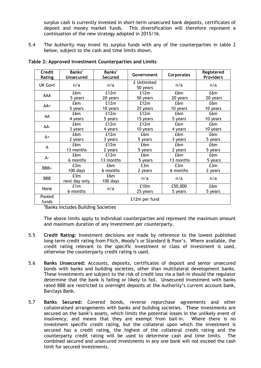surplus cash is currently invested in short-term unsecured bank deposits, certificates of deposit and money market funds. This diversification will therefore represent a continuation of the new strategy adopted in 2015/16.

5.4 The Authority may invest its surplus funds with any of the counterparties in table 2 below, subject to the cash and time limits shown.

| Credit<br>Rating | Banks*<br><b>Unsecured</b> | Banks*<br>Secured | Government              | <b>Corporates</b> | Registered<br><b>Providers</b> |
|------------------|----------------------------|-------------------|-------------------------|-------------------|--------------------------------|
| <b>UK Govt</b>   | n/a                        | n/a               | £ Unlimited<br>50 years | n/a               | n/a                            |
| AAA              | £6m                        | £12m              | £12m                    | £6m               | £6m                            |
|                  | 5 years                    | 20 years          | 50 years                | 20 years          | 20 years                       |
| $AA+$            | £6m                        | £12m              | £12m                    | £6m               | £6m                            |
|                  | 5 years                    | 10 years          | 25 years                | 10 years          | 10 years                       |
|                  | £6m                        | £12m              | £12m                    | £6m               | £6m                            |
| AA               | 4 years                    | 5 years           | 15 years                | 5 years           | 10 years                       |
| AA-              | £6m                        | £12m              | £12m                    | £6m               | £6m                            |
|                  | 3 years                    | 4 years           | 10 years                | 4 years           | 10 years                       |
|                  | £6m                        | £12m              | £6m                     | £6m               | £6m                            |
| $A+$             | 2 years                    | 3 years           | 5 years                 | 3 years           | 5 years                        |
|                  | £6m                        | £12m              | £6m                     | £6m               | £6m                            |
| A                | 13 months                  | 2 years           | 5 years                 | 2 years           | 5 years                        |
| А-               | £6m                        | £12m              | £6m                     | £6m               | £6m                            |
|                  | 6 months                   | 13 months         | 5 years                 | 13 months         | 5 years                        |
| BBB+             | £3m                        | £6m               | £3m                     | E3m               | E3m                            |
|                  | 100 days                   | 6 months          | 2 years                 | 6 months          | 2 years                        |
| <b>BBB</b>       | E3m                        | £6m               | n/a                     | n/a               | n/a                            |
|                  | next day only              | 100 days          |                         |                   |                                |
|                  | £1m                        |                   | £10m                    | £50,000           | £6m                            |
| None             | 6 months                   | n/a               | 25 years                | 5 years           | 5 years                        |
| Pooled<br>funds  |                            |                   | £12m per fund           |                   |                                |

## **Table 2: Approved Investment Counterparties and Limits**

**\***Banks includes Building Societies

The above limits apply to individual counterparties and represent the maximum amount and maximum duration of any investment per counterparty.

- 5.5 **Credit Rating:** Investment decisions are made by reference to the lowest published long-term credit rating from Fitch, Moody's or Standard & Poor's. Where available, the credit rating relevant to the specific investment or class of investment is used, otherwise the counterparty credit rating is used.
- 5.6 **Banks Unsecured:** Accounts, deposits, certificates of deposit and senior unsecured bonds with banks and building societies, other than multilateral development banks. These investments are subject to the risk of credit loss via a bail-in should the regulator determine that the bank is failing or likely to fail. Unsecured investment with banks rated BBB are restricted to overnight deposits at the Authority's current account bank, Barclays Bank.
- 5.7 **Banks Secured:** Covered bonds, reverse repurchase agreements and other collateralised arrangements with banks and building societies. These investments are secured on the bank's assets, which limits the potential losses in the unlikely event of insolvency, and means that they are exempt from bail-in. Where there is no investment specific credit rating, but the collateral upon which the investment is secured has a credit rating, the highest of the collateral credit rating and the counterparty credit rating will be used to determine cash and time limits. The combined secured and unsecured investments in any one bank will not exceed the cash limit for secured investments.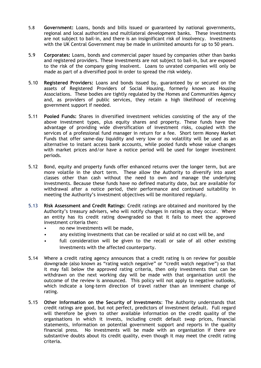- 5.8 **Government:** Loans, bonds and bills issued or guaranteed by national governments, regional and local authorities and multilateral development banks. These investments are not subject to bail-in, and there is an insignificant risk of insolvency. Investments with the UK Central Government may be made in unlimited amounts for up to 50 years.
- 5.9 **Corporates:** Loans, bonds and commercial paper issued by companies other than banks and registered providers. These investments are not subject to bail-in, but are exposed to the risk of the company going insolvent. Loans to unrated companies will only be made as part of a diversified pool in order to spread the risk widely.
- 5.10 **Registered Providers:** Loans and bonds issued by, guaranteed by or secured on the assets of Registered Providers of Social Housing, formerly known as Housing Associations. These bodies are tightly regulated by the Homes and Communities Agency and, as providers of public services, they retain a high likelihood of receiving government support if needed.
- 5.11 **Pooled Funds:** Shares in diversified investment vehicles consisting of the any of the above investment types, plus equity shares and property. These funds have the advantage of providing wide diversification of investment risks, coupled with the services of a professional fund manager in return for a fee. Short term Money Market Funds that offer same-day liquidity and very low or no volatility will be used as an alternative to instant access bank accounts, while pooled funds whose value changes with market prices and/or have a notice period will be used for longer investment periods.
- 5.12 Bond, equity and property funds offer enhanced returns over the longer term, but are more volatile in the short term. These allow the Authority to diversify into asset classes other than cash without the need to own and manage the underlying investments. Because these funds have no defined maturity date, but are available for withdrawal after a notice period, their performance and continued suitability in meeting the Authority's investment objectives will be monitored regularly.
- 5.13 **Risk Assessment and Credit Ratings**: Credit ratings are obtained and monitored by the Authority's treasury advisers, who will notify changes in ratings as they occur. Where an entity has its credit rating downgraded so that it fails to meet the approved investment criteria then:
	- no new investments will be made,
	- any existing investments that can be recalled or sold at no cost will be, and
	- full consideration will be given to the recall or sale of all other existing investments with the affected counterparty.
- 5.14 Where a credit rating agency announces that a credit rating is on review for possible downgrade (also known as "rating watch negative" or "credit watch negative") so that it may fall below the approved rating criteria, then only investments that can be withdrawn on the next working day will be made with that organisation until the outcome of the review is announced. This policy will not apply to negative outlooks, which indicate a long-term direction of travel rather than an imminent change of rating.
- 5.15 **Other Information on the Security of Investments**: The Authority understands that credit ratings are good, but not perfect, predictors of investment default. Full regard will therefore be given to other available information on the credit quality of the organisations in which it invests, including credit default swap prices, financial statements, information on potential government support and reports in the quality financial press. No investments will be made with an organisation if there are substantive doubts about its credit quality, even though it may meet the credit rating criteria.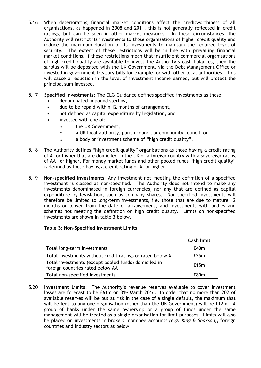- 5.16 When deteriorating financial market conditions affect the creditworthiness of all organisations, as happened in 2008 and 2011, this is not generally reflected in credit ratings, but can be seen in other market measures. In these circumstances, the Authority will restrict its investments to those organisations of higher credit quality and reduce the maximum duration of its investments to maintain the required level of security. The extent of these restrictions will be in line with prevailing financial market conditions. If these restrictions mean that insufficient commercial organisations of high credit quality are available to invest the Authority's cash balances, then the surplus will be deposited with the UK Government, via the Debt Management Office or invested in government treasury bills for example, or with other local authorities. This will cause a reduction in the level of investment income earned, but will protect the principal sum invested.
- 5.17 **Specified Investments**: The CLG Guidance defines specified investments as those:
	- denominated in pound sterling,
	- due to be repaid within 12 months of arrangement,
	- not defined as capital expenditure by legislation, and
	- invested with one of:
		- o the UK Government,
		- o a UK local authority, parish council or community council, or
		- o a body or investment scheme of "high credit quality".
- 5.18 The Authority defines "high credit quality" organisations as those having a credit rating of A- or higher that are domiciled in the UK or a foreign country with a sovereign rating of AA+ or higher. For money market funds and other pooled funds "high credit quality" is defined as those having a credit rating of A- or higher.
- 5.19 **Non-specified Investments**: Any investment not meeting the definition of a specified investment is classed as non-specified. The Authority does not intend to make any investments denominated in foreign currencies, nor any that are defined as capital expenditure by legislation, such as company shares. Non-specified investments will therefore be limited to long-term investments, i.e. those that are due to mature 12 months or longer from the date of arrangement, and investments with bodies and schemes not meeting the definition on high credit quality. Limits on non-specified investments are shown in table 3 below.

## **Table 3: Non-Specified Investment Limits**

|                                                                                           | Cash limit |
|-------------------------------------------------------------------------------------------|------------|
| Total long-term investments                                                               | E40m       |
| Total investments without credit ratings or rated below A-                                | E25m       |
| Total investments (except pooled funds) domiciled in<br>foreign countries rated below AA+ | £15m       |
| Total non-specified investments                                                           | f 80m      |

5.20 **Investment Limits**: The Authority's revenue reserves available to cover investment losses are forecast to be £61m on 31st March 2016. In order that no more than 20% of available reserves will be put at risk in the case of a single default, the maximum that will be lent to any one organisation (other than the UK Government) will be £12m. A group of banks under the same ownership or a group of funds under the same management will be treated as a single organisation for limit purposes. Limits will also be placed on investments in brokers' nominee accounts *(e.g. King & Shaxson)*, foreign countries and industry sectors as below: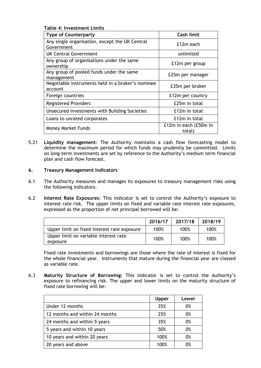|--|

| <b>Type of Counterparty</b>                                  | <b>Cash limit</b>               |
|--------------------------------------------------------------|---------------------------------|
| Any single organisation, except the UK Central<br>Government | £12m each                       |
| <b>UK Central Government</b>                                 | unlimited                       |
| Any group of organisations under the same<br>ownership       | £12m per group                  |
| Any group of pooled funds under the same<br>management       | £25m per manager                |
| Negotiable instruments held in a broker's nominee<br>account | £35m per broker                 |
| Foreign countries                                            | £12m per country                |
| <b>Registered Providers</b>                                  | £25m in total                   |
| Unsecured investments with Building Societies                | £12m in total                   |
| Loans to unrated corporates                                  | £12m in total                   |
| <b>Money Market Funds</b>                                    | £12m in each (£50m in<br>total) |

5.21 **Liquidity management**: The Authority maintains a cash flow forecasting model to determine the maximum period for which funds may prudently be committed. Limits on long-term investments are set by reference to the Authority's medium term financial plan and cash flow forecast.

## **6. Treasury Management Indicators**

- 6.1 The Authority measures and manages its exposures to treasury management risks using the following indicators.
- 6.2 **Interest Rate Exposures**: This indicator is set to control the Authority's exposure to interest rate risk. The upper limits on fixed and variable rate interest rate exposures, expressed as the proportion of net principal borrowed will be:

|                                             | 2016/17 | 2017/18 | 2018/19 |
|---------------------------------------------|---------|---------|---------|
| Upper limit on fixed interest rate exposure | 100%    | 100%    | 100%    |
| Upper limit on variable interest rate       | 100%    | 100%    | 100%    |
| exposure                                    |         |         |         |

Fixed rate investments and borrowings are those where the rate of interest is fixed for the whole financial year. Instruments that mature during the financial year are classed as variable rate.

6.3 **Maturity Structure of Borrowing:** This indicator is set to control the Authority's exposure to refinancing risk. The upper and lower limits on the maturity structure of fixed rate borrowing will be:

|                                | <b>Upper</b> | Lower |
|--------------------------------|--------------|-------|
| Under 12 months                | 35%          | 0%    |
| 12 months and within 24 months | 25%          | 0%    |
| 24 months and within 5 years   | 35%          | 0%    |
| 5 years and within 10 years    | 50%          | 0%    |
| 10 years and within 20 years   | 100%         | 0%    |
| 20 years and above             | 100%         | 0%    |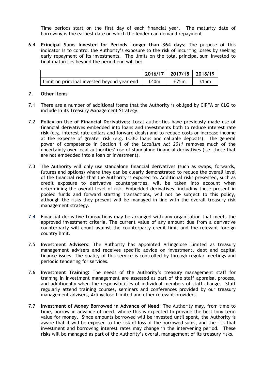Time periods start on the first day of each financial year. The maturity date of borrowing is the earliest date on which the lender can demand repayment

6.4 **Principal Sums Invested for Periods Longer than 364 days:** The purpose of this indicator is to control the Authority's exposure to the risk of incurring losses by seeking early repayment of its investments. The limits on the total principal sum invested to final maturities beyond the period end will be:

|                                             |      | $2016/17$   2017/18   2018/19 |      |
|---------------------------------------------|------|-------------------------------|------|
| Limit on principal invested beyond year end | £40m | E25m                          | £15m |

#### **7. Other Items**

- 7.1 There are a number of additional items that the Authority is obliged by CIPFA or CLG to include in its Treasury Management Strategy.
- 7.2 **Policy on Use of Financial Derivatives:** Local authorities have previously made use of financial derivatives embedded into loans and investments both to reduce interest rate risk (e.g. interest rate collars and forward deals) and to reduce costs or increase income at the expense of greater risk (e.g. LOBO loans and callable deposits). The general power of competence in Section 1 of the *Localism Act 2011* removes much of the uncertainty over local authorities' use of standalone financial derivatives (i.e. those that are not embedded into a loan or investment).
- 7.3 The Authority will only use standalone financial derivatives (such as swaps, forwards, futures and options) where they can be clearly demonstrated to reduce the overall level of the financial risks that the Authority is exposed to. Additional risks presented, such as credit exposure to derivative counterparties, will be taken into account when determining the overall level of risk. Embedded derivatives, including those present in pooled funds and forward starting transactions, will not be subject to this policy, although the risks they present will be managed in line with the overall treasury risk management strategy.
- 7.4 Financial derivative transactions may be arranged with any organisation that meets the approved investment criteria. The current value of any amount due from a derivative counterparty will count against the counterparty credit limit and the relevant foreign country limit.
- 7.5 **Investment Advisers:** The Authority has appointed Arlingclose Limited as treasury management advisers and receives specific advice on investment, debt and capital finance issues. The quality of this service is controlled by through regular meetings and periodic tendering for services.
- 7.6 **Investment Training:** The needs of the Authority's treasury management staff for training in investment management are assessed as part of the staff appraisal process, and additionally when the responsibilities of individual members of staff change. Staff regularly attend training courses, seminars and conferences provided by our treasury management advisers, Arlingclose Limited and other relevant providers.
- 7.7 **Investment of Money Borrowed in Advance of Need**: The Authority may, from time to time, borrow in advance of need, where this is expected to provide the best long term value for money. Since amounts borrowed will be invested until spent, the Authority is aware that it will be exposed to the risk of loss of the borrowed sums, and the risk that investment and borrowing interest rates may change in the intervening period. These risks will be managed as part of the Authority's overall management of its treasury risks.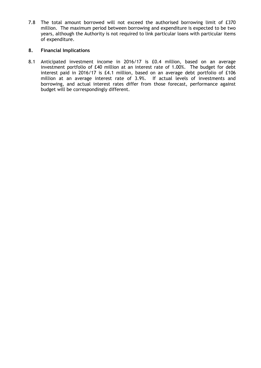7.8 The total amount borrowed will not exceed the authorised borrowing limit of £370 million. The maximum period between borrowing and expenditure is expected to be two years, although the Authority is not required to link particular loans with particular items of expenditure.

# **8. Financial Implications**

8.1 Anticipated investment income in 2016/17 is £0.4 million, based on an average investment portfolio of £40 million at an interest rate of 1.00%. The budget for debt interest paid in 2016/17 is £4.1 million, based on an average debt portfolio of £106 million at an average interest rate of 3.9%. If actual levels of investments and borrowing, and actual interest rates differ from those forecast, performance against budget will be correspondingly different.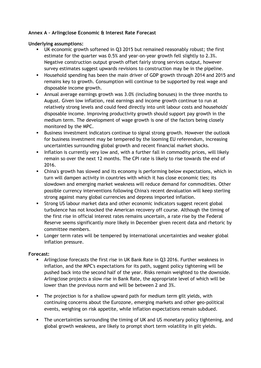# **Annex A – Arlingclose Economic & Interest Rate Forecast**

## **Underlying assumptions:**

- UK economic growth softened in Q3 2015 but remained reasonably robust; the first estimate for the quarter was 0.5% and year-on-year growth fell slightly to 2.3%. Negative construction output growth offset fairly strong services output, however survey estimates suggest upwards revisions to construction may be in the pipeline.
- Household spending has been the main driver of GDP growth through 2014 and 2015 and remains key to growth. Consumption will continue to be supported by real wage and disposable income growth.
- Annual average earnings growth was 3.0% (including bonuses) in the three months to August. Given low inflation, real earnings and income growth continue to run at relatively strong levels and could feed directly into unit labour costs and households' disposable income. Improving productivity growth should support pay growth in the medium term. The development of wage growth is one of the factors being closely monitored by the MPC.
- Business investment indicators continue to signal strong growth. However the outlook for business investment may be tempered by the looming EU referendum, increasing uncertainties surrounding global growth and recent financial market shocks.
- Inflation is currently very low and, with a further fall in commodity prices, will likely remain so over the next 12 months. The CPI rate is likely to rise towards the end of 2016.
- China's growth has slowed and its economy is performing below expectations, which in turn will dampen activity in countries with which it has close economic ties; its slowdown and emerging market weakness will reduce demand for commodities. Other possible currency interventions following China's recent devaluation will keep sterling strong against many global currencies and depress imported inflation.
- Strong US labour market data and other economic indicators suggest recent global turbulence has not knocked the American recovery off course. Although the timing of the first rise in official interest rates remains uncertain, a rate rise by the Federal Reserve seems significantly more likely in December given recent data and rhetoric by committee members.
- Longer term rates will be tempered by international uncertainties and weaker global inflation pressure.

# **Forecast:**

- Arlingclose forecasts the first rise in UK Bank Rate in Q3 2016. Further weakness in inflation, and the MPC's expectations for its path, suggest policy tightening will be pushed back into the second half of the year. Risks remain weighted to the downside. Arlingclose projects a slow rise in Bank Rate, the appropriate level of which will be lower than the previous norm and will be between 2 and 3%.
- The projection is for a shallow upward path for medium term gilt yields, with continuing concerns about the Eurozone, emerging markets and other geo-political events, weighing on risk appetite, while inflation expectations remain subdued.
- The uncertainties surrounding the timing of UK and US monetary policy tightening, and global growth weakness, are likely to prompt short term volatility in gilt yields.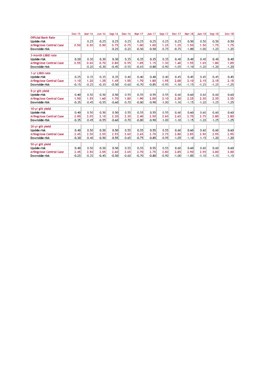|                                 | <b>Dec-15</b> | <b>Mar-16</b> | $Jun-16$ | <b>Sep-16</b> | <b>Dec-16</b> | <b>Mar-17</b> | <b>Jun-17</b> | <b>Sep-17</b> | <b>Dec-17</b> | <b>Mar-18</b> | <b>Jun-18</b> | <b>Sep-18</b> | <b>Dec-18</b> |
|---------------------------------|---------------|---------------|----------|---------------|---------------|---------------|---------------|---------------|---------------|---------------|---------------|---------------|---------------|
| <b>Official Bank Rate</b>       |               |               |          |               |               |               |               |               |               |               |               |               |               |
| <b>Upside risk</b>              |               | 0.25          | 0.25     | 0.25          | 0.25          | 0.25          | 0.25          | 0.25          | 0.25          | 0.50          | 0.50          | 0.50          | 0.50          |
| <b>Arlingclose Central Case</b> | 0.50          | 0.50          | 0.50     | 0.75          | 0.75          | 1.00          | 1.00          | 1.25          | 1.25          | 1.50          | 1.50          | 1.75          | 1.75          |
| Downside risk                   |               |               |          | $-0.25$       | $-0.25$       | $-0.50$       | $-0.50$       | $-0.75$       | $-0.75$       | $-1.00$       | $-1.00$       | $-1.25$       | $-1.25$       |
| 3-month LIBID rate              |               |               |          |               |               |               |               |               |               |               |               |               |               |
| <b>Upside risk</b>              | 0.20          | 0.30          | 0.30     | 0.30          | 0.35          | 0.35          | 0.35          | 0.35          | 0.40          | 0.40          | 0.40          | 0.40          | 0.40          |
| <b>Arlingclose Central Case</b> | 0.55          | 0.60          | 0.70     | 0.80          | 0.95          | 1.05          | 1.15          | 1.30          | 1.40          | 1.55          | 1.65          | 1.80          | 1.85          |
| Downside risk                   |               | $-0.20$       | $-0.30$  | $-0.45$       | $-0.55$       | $-0.65$       | $-0.80$       | $-0.90$       | $-1.05$       | $-1.10$       | $-1.20$       | $-1.20$       | $-1.20$       |
| 1-yr LIBID rate                 |               |               |          |               |               |               |               |               |               |               |               |               |               |
| <b>Upside risk</b>              | 0.25          | 0.35          | 0.35     | 0.35          | 0.40          | 0.40          | 0.40          | 0.40          | 0.45          | 0.45          | 0.45          | 0.45          | 0.45          |
| <b>Arlingclose Central Case</b> | 1.10          | 1.20          | 1.35     | 1.45          | 1.55          | 1.70          | 1.80          | 1.95          | 2.00          | 2.10          | 2.15          | 2.15          | 2.15          |
| Downside risk                   | $-0.15$       | $-0.25$       | $-0.35$  | $-0.50$       | $-0.60$       | $-0.70$       | $-0.85$       | $-0.95$       | $-1.10$       | $-1.15$       | $-1.25$       | $-1.25$       | $-1.25$       |
| 5-yr gilt yield                 |               |               |          |               |               |               |               |               |               |               |               |               |               |
| <b>Upside risk</b>              | 0.40          | 0.50          | 0.50     | 0.50          | 0.55          | 0.55          | 0.55          | 0.55          | 0.60          | 0.60          | 0.60          | 0.60          | 0.60          |
| <b>Arlingclose Central Case</b> | 1.50          | 1.55          | 1.60     | 1.70          | 1.80          | 1.90          | 2.00          | 2.10          | 2.20          | 2.25          | 2.30          | 2.35          | 2.35          |
| Downside risk                   | $-0.35$       | $-0.45$       | $-0.55$  | $-0.60$       | $-0.70$       | $-0.80$       | $-0.90$       | $-1.00$       | $-1.10$       | $-1.15$       | $-1.20$       | $-1.25$       | $-1.25$       |
|                                 |               |               |          |               |               |               |               |               |               |               |               |               |               |
| 10-yr gilt yield                |               |               |          |               |               |               |               |               |               |               |               |               |               |
| <b>Upside risk</b>              | 0.40          | 0.50          | 0.50     | 0.50          | 0.55          | 0.55          | 0.55          | 0.55          | 0.60          | 0.60          | 0.60          | 0.60          | 0.60          |
| <b>Arlingclose Central Case</b> | 2.00          | 2.05          | 2.10     | 2.20          | 2.30          | 2.40          | 2.50          | 2.60          | 2.65          | 2.70          | 2.75          | 2.80          | 2.80          |
| Downside risk                   | $-0.35$       | $-0.45$       | $-0.55$  | $-0.60$       | $-0.70$       | $-0.80$       | $-0.90$       | $-1.00$       | $-1.10$       | $-1.15$       | $-1.20$       | $-1.25$       | $-1.25$       |
| 20-yr gilt yield                |               |               |          |               |               |               |               |               |               |               |               |               |               |
| <b>Upside risk</b>              | 0.40          | 0.50          | 0.50     | 0.50          | 0.55          | 0.55          | 0.55          | 0.55          | 0.60          | 0.60          | 0.60          | 0.60          | 0.60          |
| <b>Arlingclose Central Case</b> | 2.45          | 2.50          | 2.55     | 2.55          | 2.60          | 2.65          | 2.70          | 2.75          | 2.80          | 2.85          | 2.90          | 2.95          | 2.95          |
| <b>Downside risk</b>            | $-0.30$       | $-0.40$       | $-0.50$  | $-0.55$       | $-0.65$       | $-0.75$       | $-0.85$       | $-0.95$       | $-1.05$       | $-1.10$       | $-1.15$       | $-1.20$       | $-1.20$       |
| 50-yr gilt yield                |               |               |          |               |               |               |               |               |               |               |               |               |               |
| <b>Upside risk</b>              | 0.40          | 0.50          | 0.50     | 0.50          | 0.55          | 0.55          | 0.55          | 0.55          | 0.60          | 0.60          | 0.60          | 0.60          | 0.60          |
| <b>Arlingclose Central Case</b> | 2.45          | 2.50          | 2.55     | 2.60          | 2.65          | 2.70          | 2.75          | 2.80          | 2.85          | 2.90          | 2.95          | 3.00          | 3.00          |
| Downside risk                   | $-0.25$       | $-0.35$       | $-0.45$  | $-0.50$       | $-0.60$       | $-0.70$       | $-0.80$       | $-0.90$       | $-1.00$       | $-1.05$       | $-1.10$       | $-1.15$       | $-1.15$       |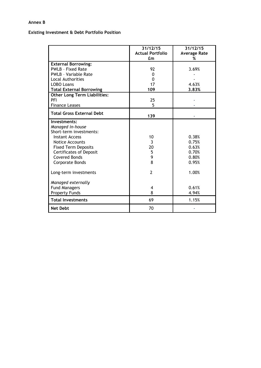## **Annex B**

## **Existing Investment & Debt Portfolio Position**

|                                     | 31/12/15<br><b>Actual Portfolio</b><br>£m | 31/12/15<br><b>Average Rate</b><br>% |
|-------------------------------------|-------------------------------------------|--------------------------------------|
|                                     |                                           |                                      |
| <b>External Borrowing:</b>          |                                           |                                      |
| <b>PWLB - Fixed Rate</b>            | 92                                        | 3.69%                                |
| <b>PWLB</b> - Variable Rate         | $\Omega$                                  |                                      |
| <b>Local Authorities</b>            | 0                                         |                                      |
| <b>LOBO Loans</b>                   | 17                                        | 4.63%                                |
| <b>Total External Borrowing</b>     | 109                                       | 3.83%                                |
| <b>Other Long Term Liabilities:</b> |                                           |                                      |
| PFI                                 | 25                                        |                                      |
| <b>Finance Leases</b>               | 5                                         |                                      |
| <b>Total Gross External Debt</b>    |                                           |                                      |
|                                     | 139                                       |                                      |
| Investments:                        |                                           |                                      |
| Managed in-house                    |                                           |                                      |
| Short-term investments:             |                                           |                                      |
| <b>Instant Access</b>               | 10                                        | 0.38%                                |
| Notice Accounts                     | $\overline{3}$                            | 0.75%                                |
| <b>Fixed Term Deposits</b>          | 20                                        | 0.63%                                |
| <b>Certificates of Deposit</b>      | 5                                         | 0.70%                                |
| <b>Covered Bonds</b>                | 9                                         | 0.80%                                |
| Corporate Bonds                     | 8                                         | 0.95%                                |
| Long-term investments               | $\overline{2}$                            | 1.00%                                |
| Managed externally                  |                                           |                                      |
| <b>Fund Managers</b>                | 4                                         | 0.61%                                |
| <b>Property Funds</b>               | 8                                         | 4.94%                                |
| <b>Total Investments</b>            | 69                                        | 1.15%                                |
| <b>Net Debt</b>                     | 70                                        |                                      |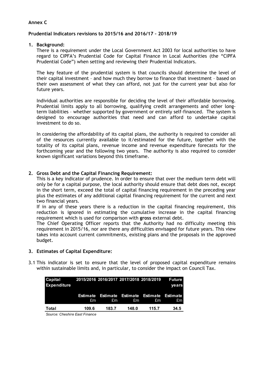## **Annex C**

## **Prudential Indicators revisions to 2015/16 and 2016/17 – 2018/19**

## **1. Background:**

There is a requirement under the Local Government Act 2003 for local authorities to have regard to CIPFA's Prudential Code for Capital Finance in Local Authorities (the "CIPFA Prudential Code") when setting and reviewing their Prudential Indicators.

The key feature of the prudential system is that councils should determine the level of their capital investment – and how much they borrow to finance that investment – based on their own assessment of what they can afford, not just for the current year but also for future years.

Individual authorities are responsible for deciding the level of their affordable borrowing. Prudential limits apply to all borrowing, qualifying credit arrangements and other longterm liabilities – whether supported by government or entirely self-financed. The system is designed to encourage authorities that need and can afford to undertake capital investment to do so.

In considering the affordability of its capital plans, the authority is required to consider all of the resources currently available to it/estimated for the future, together with the totality of its capital plans, revenue income and revenue expenditure forecasts for the forthcoming year and the following two years. The authority is also required to consider known significant variations beyond this timeframe.

## **2. Gross Debt and the Capital Financing Requirement:**

This is a key indicator of prudence. In order to ensure that over the medium term debt will only be for a capital purpose, the local authority should ensure that debt does not, except in the short term, exceed the total of capital financing requirement in the preceding year plus the estimates of any additional capital financing requirement for the current and next two financial years.

If in any of these years there is a reduction in the capital financing requirement, this reduction is ignored in estimating the cumulative increase in the capital financing requirement which is used for comparison with **gross** external debt.

The Chief Operating Officer reports that the Authority had no difficulty meeting this requirement in 2015/16, nor are there any difficulties envisaged for future years. This view takes into account current commitments, existing plans and the proposals in the approved budget.

## **3. Estimates of Capital Expenditure:**

3.1 This indicator is set to ensure that the level of proposed capital expenditure remains within sustainable limits and, in particular, to consider the impact on Council Tax.

| Capital<br><b>Expenditure</b> | 2015/2016 2016/2017 2017/2018 2018/2019 |             |       |                                                      | Future<br>vears |
|-------------------------------|-----------------------------------------|-------------|-------|------------------------------------------------------|-----------------|
|                               | £m                                      | $g_{\rm m}$ | £m    | Estimate Estimate Estimate Estimate Estimate<br>- £m | £m.             |
| Total                         | 109.6                                   | 183.7       | 148.0 | 115.7                                                | 34.5            |

*Source: Cheshire East Finance*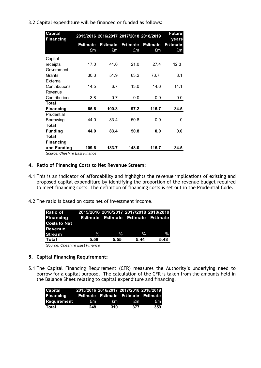3.2 Capital expenditure will be financed or funded as follows:

| <b>Capital</b><br><b>Financing</b> |                 |                 | 2015/2016 2016/2017 2017/2018 2018/2019 |                 | <b>Future</b><br>years |
|------------------------------------|-----------------|-----------------|-----------------------------------------|-----------------|------------------------|
|                                    | <b>Estimate</b> | <b>Estimate</b> | <b>Estimate</b>                         | <b>Estimate</b> | <b>Estimate</b>        |
|                                    | £m              | £m              | £m                                      | £m              | £m                     |
| Capital                            |                 |                 |                                         |                 |                        |
| receipts                           | 17.0            | 41.0            | 21.0                                    | 27.4            | 12.3                   |
| Government                         |                 |                 |                                         |                 |                        |
| Grants                             | 30.3            | 51.9            | 63.2                                    | 73.7            | 8.1                    |
| External                           |                 |                 |                                         |                 |                        |
| Contributions                      | 14.5            | 6.7             | 13.0                                    | 14.6            | 14.1                   |
| Revenue                            |                 |                 |                                         |                 |                        |
| Contributions                      | 3.8             | 0.7             | 0.0                                     | 0.0             | 0.0                    |
| <b>Total</b>                       |                 |                 |                                         |                 |                        |
| <b>Financing</b>                   | 65.6            | 100.3           | 97.2                                    | 115.7           | 34.5                   |
| Prudential                         |                 |                 |                                         |                 |                        |
| Borrowing                          | 44.0            | 83.4            | 50.8                                    | 0.0             | 0                      |
| Total                              |                 |                 |                                         |                 |                        |
| <b>Funding</b>                     | 44.0            | 83.4            | 50.8                                    | 0.0             | 0.0                    |
| <b>Total</b>                       |                 |                 |                                         |                 |                        |
| <b>Financing</b>                   |                 |                 |                                         |                 |                        |
| and Funding                        | 109.6           | 183.7           | 148.0                                   | 115.7           | 34.5                   |
| $\sim$ $\sim$ $\sim$ $\sim$ $\sim$ |                 |                 |                                         |                 |                        |

*Source: Cheshire East Finance*

## **4. Ratio of Financing Costs to Net Revenue Stream:**

- 4.1 This is an indicator of affordability and highlights the revenue implications of existing and proposed capital expenditure by identifying the proportion of the revenue budget required to meet financing costs. The definition of financing costs is set out in the Prudential Code.
- 4.2 The ratio is based on costs net of investment income.

| <b>Ratio of</b>     | 2015/2016 2016/2017 2017/2018 2018/2019    |               |               |               |
|---------------------|--------------------------------------------|---------------|---------------|---------------|
| Financing           | <b>Estimate Estimate Estimate Estimate</b> |               |               |               |
| <b>Costs to Net</b> |                                            |               |               |               |
| Revenue             |                                            |               |               |               |
| <b>Stream</b>       | $\%$                                       | $\frac{0}{2}$ | $\frac{0}{0}$ | $\frac{0}{0}$ |
| Total               | 5.58                                       | 5.55          | 5.44          | 5.48          |

*Source: Cheshire East Finance*

## **5. Capital Financing Requirement:**

5.1 The Capital Financing Requirement (CFR) measures the Authority's underlying need to borrow for a capital purpose. The calculation of the CFR is taken from the amounts held in the Balance Sheet relating to capital expenditure and financing.

| Capital     |     |     |     | 2015/2016 2016/2017 2017/2018 2018/2019 |
|-------------|-----|-----|-----|-----------------------------------------|
| Financing   |     |     |     | Estimate Estimate Estimate Estimate     |
| Requirement | £m  | £m  | £m  | £m.                                     |
| Total       | 248 | 310 | 377 | 359                                     |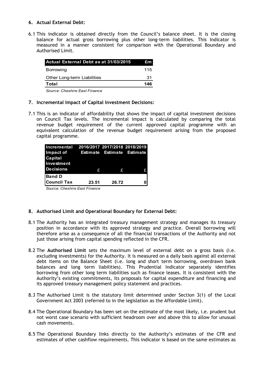## **6. Actual External Debt:**

6.1 This indicator is obtained directly from the Council's balance sheet. It is the closing balance for actual gross borrowing plus other long-term liabilities. This Indicator is measured in a manner consistent for comparison with the Operational Boundary and Authorised Limit.

| Actual External Debt as at 31/03/2015 | £m. |
|---------------------------------------|-----|
| Borrowing                             | 115 |
| Other Long-term Liabilities           | 31  |
| Total                                 | 146 |
| . . — . — .                           |     |

*Source: Cheshire East Finance*

## **7. Incremental Impact of Capital Investment Decisions:**

7.1 This is an indicator of affordability that shows the impact of capital investment decisions on Council Tax levels. The incremental impact is calculated by comparing the total revenue budget requirement of the current approved capital programme with an equivalent calculation of the revenue budget requirement arising from the proposed capital programme.

| Incremental 2016/2017 2017/2018 2018/2019 |       |       |  |
|-------------------------------------------|-------|-------|--|
| Impact of Estimate Estimate Estimate      |       |       |  |
| Capital                                   |       |       |  |
| Investment                                |       |       |  |
| <b>Decisions</b>                          | £     | £     |  |
| <b>Band D</b>                             |       |       |  |
| <b>Council Tax</b>                        | 23.51 | 26.72 |  |
|                                           |       |       |  |

*Source: Cheshire East Finance*

## **8. Authorised Limit and Operational Boundary for External Debt:**

- 8.1 The Authority has an integrated treasury management strategy and manages its treasury position in accordance with its approved strategy and practice. Overall borrowing will therefore arise as a consequence of all the financial transactions of the Authority and not just those arising from capital spending reflected in the CFR.
- 8.2 The **Authorised Limit** sets the maximum level of external debt on a gross basis (i.e. excluding investments) for the Authority. It is measured on a daily basis against all external debt items on the Balance Sheet (i.e. long and short term borrowing, overdrawn bank balances and long term liabilities). This Prudential Indicator separately identifies borrowing from other long term liabilities such as finance leases. It is consistent with the Authority's existing commitments, its proposals for capital expenditure and financing and its approved treasury management policy statement and practices.
- 8.3 The Authorised Limit is the statutory limit determined under Section 3(1) of the Local Government Act 2003 (referred to in the legislation as the Affordable Limit).
- 8.4 The Operational Boundary has been set on the estimate of the most likely, i.e. prudent but not worst case scenario with sufficient headroom over and above this to allow for unusual cash movements.
- 8.5 The Operational Boundary links directly to the Authority's estimates of the CFR and estimates of other cashflow requirements. This indicator is based on the same estimates as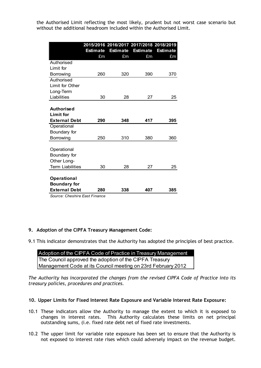the Authorised Limit reflecting the most likely, prudent but not worst case scenario but without the additional headroom included within the Authorised Limit.

|                                            | <b>Estimate</b> | <b>Estimate</b> | 2015/2016 2016/2017 2017/2018 2018/2019<br><b>Estimate</b> | <b>Estimate</b> |
|--------------------------------------------|-----------------|-----------------|------------------------------------------------------------|-----------------|
|                                            | £m              | £m              | £m                                                         | £m              |
| Authorised                                 |                 |                 |                                                            |                 |
| Limit for                                  |                 |                 |                                                            |                 |
| Borrowing                                  | 260             | 320             | 390                                                        | 370             |
| Authorised                                 |                 |                 |                                                            |                 |
| Limit for Other                            |                 |                 |                                                            |                 |
| Long-Term                                  |                 |                 |                                                            |                 |
| Liabilities                                | 30              | 28              | 27                                                         | 25              |
| <b>Authorised</b><br><b>Limit for</b>      |                 |                 |                                                            |                 |
| <b>External Debt</b>                       | 290             | 348             | 417                                                        | 395             |
| Operational                                |                 |                 |                                                            |                 |
| Boundary for                               |                 |                 |                                                            |                 |
| Borrowing                                  | 250             | 310             | 380                                                        | 360             |
| Operational<br>Boundary for<br>Other Long- |                 |                 |                                                            |                 |
| <b>Term Liabilities</b>                    | 30              | 28              | 27                                                         | 25              |
|                                            |                 |                 |                                                            |                 |
| Operational<br><b>Boundary for</b>         |                 |                 |                                                            |                 |
| <b>External Debt</b>                       | 280             | 338             | 407                                                        | 385             |

*Source: Cheshire East Finance*

## **9. Adoption of the CIPFA Treasury Management Code:**

9.1 This indicator demonstrates that the Authority has adopted the principles of best practice.

| Adoption of the CIPFA Code of Practice in Treasury Management |
|---------------------------------------------------------------|
| The Council approved the adoption of the CIPFA Treasury       |
| Management Code at its Council meeting on 23rd February 2012  |

*The Authority has incorporated the changes from the revised CIPFA Code of Practice into its treasury policies, procedures and practices.*

## **10. Upper Limits for Fixed Interest Rate Exposure and Variable Interest Rate Exposure:**

- 10.1 These indicators allow the Authority to manage the extent to which it is exposed to changes in interest rates. This Authority calculates these limits on net principal outstanding sums, (i.e. fixed rate debt net of fixed rate investments.
- 10.2 The upper limit for variable rate exposure has been set to ensure that the Authority is not exposed to interest rate rises which could adversely impact on the revenue budget.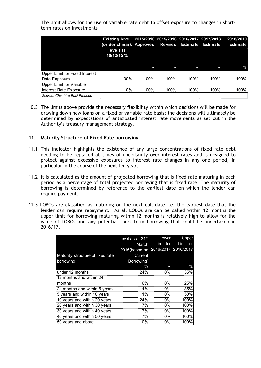The limit allows for the use of variable rate debt to offset exposure to changes in shortterm rates on investments

|                                | Existing level 2015/2016 2015/2016 2016/2017 2017/2018<br>(or Benchmark Approved Revised Estimate<br>level) at<br>10/12/15 % |      |      |      | Estimate | 2018/2019<br><b>Estimate</b> |
|--------------------------------|------------------------------------------------------------------------------------------------------------------------------|------|------|------|----------|------------------------------|
|                                |                                                                                                                              | $\%$ | $\%$ | $\%$ | $\%$     | $\%$                         |
| Upper Limit for Fixed Interest |                                                                                                                              |      |      |      |          |                              |
| Rate Exposure                  | 100%                                                                                                                         | 100% | 100% | 100% | 100%     | 100%                         |
| Upper Limit for Variable       |                                                                                                                              |      |      |      |          |                              |
| Interest Rate Exposure         | $0\%$                                                                                                                        | 100% | 100% | 100% | 100%     | 100%                         |
| Source: Cheshire East Finance  |                                                                                                                              |      |      |      |          |                              |

10.3 The limits above provide the necessary flexibility within which decisions will be made for drawing down new loans on a fixed or variable rate basis; the decisions will ultimately be determined by expectations of anticipated interest rate movements as set out in the Authority's treasury management strategy.

## **11. Maturity Structure of Fixed Rate borrowing:**

- 11.1 This indicator highlights the existence of any large concentrations of fixed rate debt needing to be replaced at times of uncertainty over interest rates and is designed to protect against excessive exposures to interest rate changes in any one period, in particular in the course of the next ten years.
- 11.2 It is calculated as the amount of projected borrowing that is fixed rate maturing in each period as a percentage of total projected borrowing that is fixed rate. The maturity of borrowing is determined by reference to the earliest date on which the lender can require payment.
- 11.3 LOBOs are classified as maturing on the next call date i.e. the earliest date that the lender can require repayment. As all LOBOs are can be called within 12 months the upper limit for borrowing maturing within 12 months is relatively high to allow for the value of LOBOs and any potential short term borrowing that could be undertaken in 2016/17.

|                                  | Level as at 31 <sup>st</sup> | Lower               | Upper         |
|----------------------------------|------------------------------|---------------------|---------------|
|                                  | March                        | Limit for           | Limit for     |
|                                  | 2016(based on                | 2016/2017 2016/2017 |               |
| Maturity structure of fixed rate | Current                      |                     |               |
| borrowing                        | Borrowing)                   |                     |               |
|                                  | $\%$                         | $\%$                | $\frac{0}{0}$ |
| under 12 months                  | 24%                          | 0%                  | 35%           |
| 12 months and within 24          |                              |                     |               |
| months                           | 6%                           | 0%                  | 25%           |
| 24 months and within 5 years     | 14%                          | 0%                  | 35%           |
| 5 years and within 10 years      | $1\%$                        | 0%                  | 50%           |
| 10 years and within 20 years     | 24%                          | 0%                  | 100%          |
| 20 years and within 30 years     | 7%                           | በ%                  | 100%          |
| 30 years and within 40 years     | 17%                          | 0%                  | 100%          |
| 40 years and within 50 years     | 7%                           | 0%                  | 100%          |
| 50 years and above               | 0%                           | 0%                  | 100%          |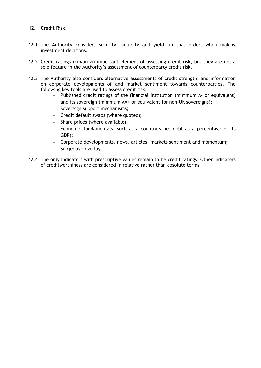## **12. Credit Risk:**

- 12.1 The Authority considers security, liquidity and yield, in that order, when making investment decisions.
- 12.2 Credit ratings remain an important element of assessing credit risk, but they are not a sole feature in the Authority's assessment of counterparty credit risk.
- 12.3 The Authority also considers alternative assessments of credit strength, and information on corporate developments of and market sentiment towards counterparties. The following key tools are used to assess credit risk:
	- Published credit ratings of the financial institution (minimum A- or equivalent) and its sovereign (minimum AA+ or equivalent for non-UK sovereigns);
	- Sovereign support mechanisms;
	- $-$  Credit default swaps (where quoted);
	- $-$  Share prices (where available);
	- Economic fundamentals, such as a country's net debt as a percentage of its GDP);
	- Corporate developments, news, articles, markets sentiment and momentum;
	- $-$  Subjective overlay.
- 12.4 The only indicators with prescriptive values remain to be credit ratings. Other indicators of creditworthiness are considered in relative rather than absolute terms.